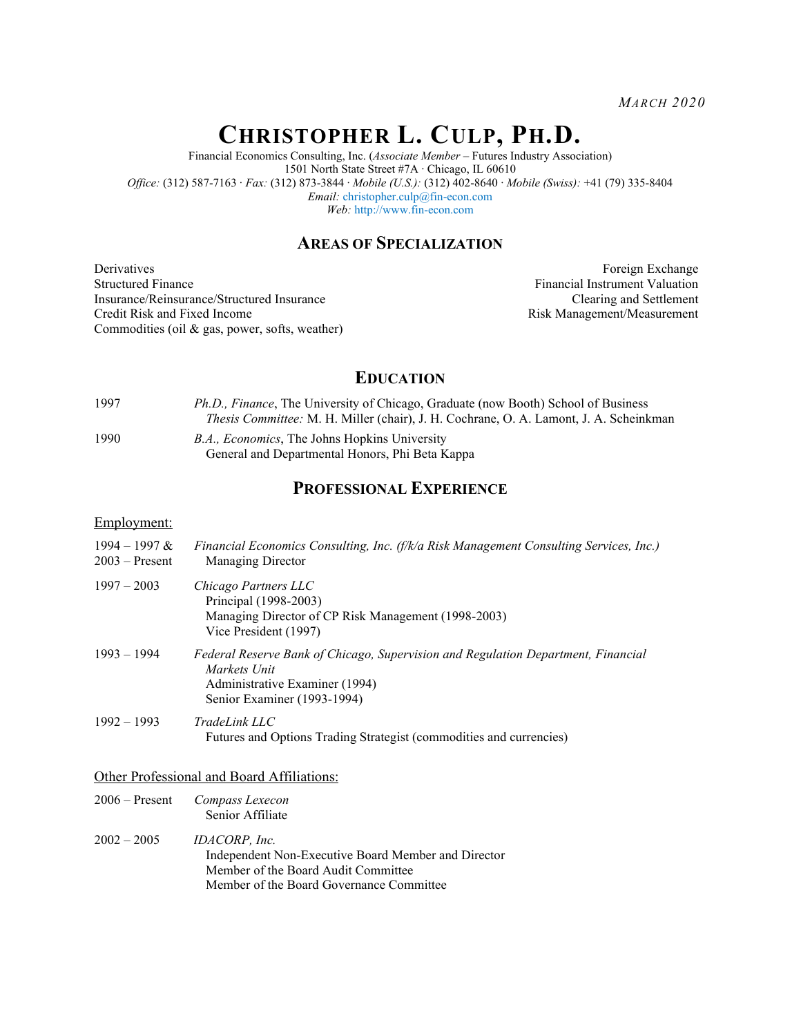*MARCH 2020*

# **CHRISTOPHER L. CULP, PH.D.**

Financial Economics Consulting, Inc. (*Associate Member* – Futures Industry Association) 1501 North State Street #7A ∙ Chicago, IL 60610 *Office:* (312) 587-7163 ∙ *Fax:* (312) 873-3844 ∙ *Mobile (U.S.):* (312) 402-8640 ∙ *Mobile (Swiss):* +41 (79) 335-8404 *Email:* [christopher.culp@fin-econ.com](mailto:christopher.culp@fin-econ.com) *Web:* [http://www.fin-econ.com](http://www.fin-econ.com/)

# **AREAS OF SPECIALIZATION**

**Derivatives** Structured Finance Insurance/Reinsurance/Structured Insurance Credit Risk and Fixed Income Commodities (oil & gas, power, softs, weather)

Foreign Exchange Financial Instrument Valuation Clearing and Settlement Risk Management/Measurement

# **EDUCATION**

- 1997 *Ph.D., Finance*, The University of Chicago, Graduate (now Booth) School of Business *Thesis Committee:* M. H. Miller (chair), J. H. Cochrane, O. A. Lamont, J. A. Scheinkman
- 1990 *B.A., Economics*, The Johns Hopkins University General and Departmental Honors, Phi Beta Kappa

# **PROFESSIONAL EXPERIENCE**

#### Employment:

| $1994 - 1997$ &<br>$2003 -$ Present | Financial Economics Consulting, Inc. (f/k/a Risk Management Consulting Services, Inc.)<br><b>Managing Director</b>                                                 |
|-------------------------------------|--------------------------------------------------------------------------------------------------------------------------------------------------------------------|
| $1997 - 2003$                       | Chicago Partners LLC<br>Principal (1998-2003)<br>Managing Director of CP Risk Management (1998-2003)<br>Vice President (1997)                                      |
| $1993 - 1994$                       | Federal Reserve Bank of Chicago, Supervision and Regulation Department, Financial<br>Markets Unit<br>Administrative Examiner (1994)<br>Senior Examiner (1993-1994) |
| $1992 - 1993$                       | TradeLink LLC<br>Futures and Options Trading Strategist (commodities and currencies)                                                                               |

#### Other Professional and Board Affiliations:

| $2006 -$ Present | Compass Lexecon  |  |
|------------------|------------------|--|
|                  | Senior Affiliate |  |

2002 – 2005 *IDACORP, Inc.* Independent Non-Executive Board Member and Director Member of the Board Audit Committee Member of the Board Governance Committee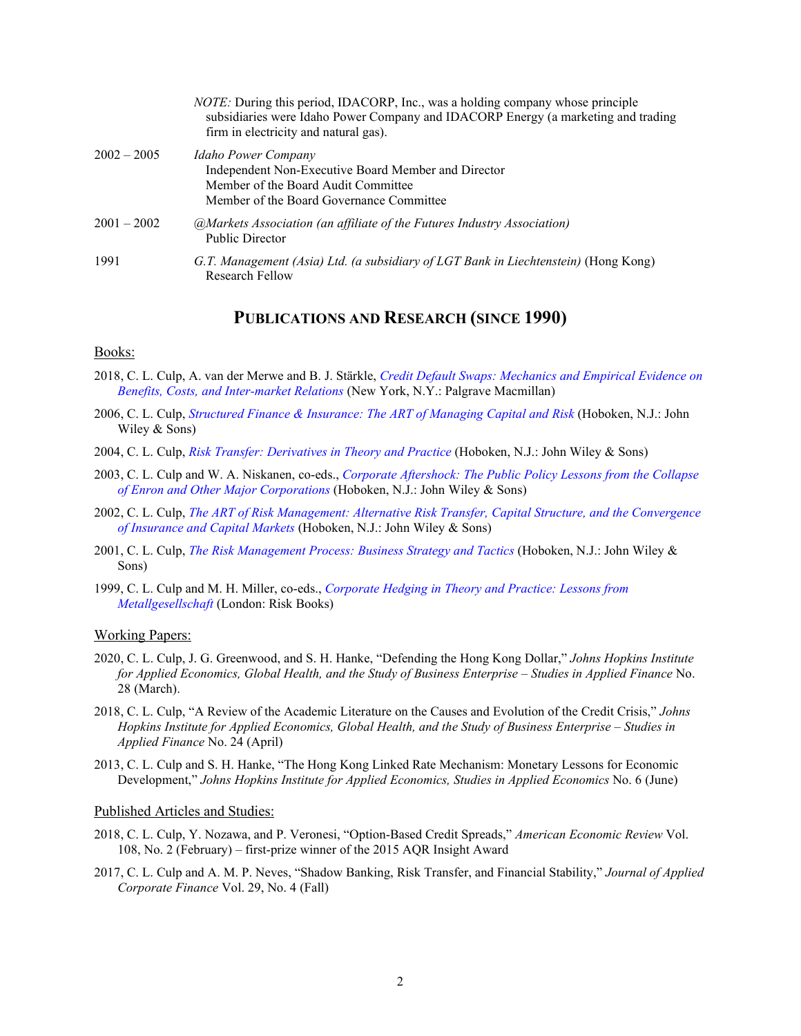|               | <i>NOTE:</i> During this period, IDACORP, Inc., was a holding company whose principle<br>subsidiaries were Idaho Power Company and IDACORP Energy (a marketing and trading<br>firm in electricity and natural gas). |
|---------------|---------------------------------------------------------------------------------------------------------------------------------------------------------------------------------------------------------------------|
| $2002 - 2005$ | Idaho Power Company<br>Independent Non-Executive Board Member and Director<br>Member of the Board Audit Committee<br>Member of the Board Governance Committee                                                       |
| $2001 - 2002$ | (a) Markets Association (an affiliate of the Futures Industry Association)<br><b>Public Director</b>                                                                                                                |
| 1991          | G.T. Management (Asia) Ltd. (a subsidiary of LGT Bank in Liechtenstein) (Hong Kong)<br>Research Fellow                                                                                                              |

# **PUBLICATIONS AND RESEARCH (SINCE 1990)**

#### Books:

- 2018, C. L. Culp, A. van der Merwe and B. J. Stärkle, *[Credit Default Swaps: Mechanics and Empirical Evidence on](https://www.palgrave.com/us/book/9783319930756)  [Benefits, Costs, and Inter-market Relations](https://www.palgrave.com/us/book/9783319930756)* (New York, N.Y.: Palgrave Macmillan)
- 2006, C. L. Culp, *[Structured Finance & Insurance: The ART of Managing](https://www.wiley.com/en-us/Structured+Finance+and+Insurance%3A+The+ART+of+Managing+Capital+and+Risk-p-9781118160992) Capital and Risk* (Hoboken, N.J.: John Wiley & Sons)
- 2004, C. L. Culp, *[Risk Transfer: Derivatives in Theory and Practice](https://www.wiley.com/en-us/Risk+Transfer%3A+Derivatives+in+Theory+and+Practice-p-9781118160886)* (Hoboken, N.J.: John Wiley & Sons)
- 2003, C. L. Culp and W. A. Niskanen, co-eds., *[Corporate Aftershock: The Public](https://www.wiley.com/en-us/Corporate+Aftershock%3A+The+Public+Policy+Lessons+from+the+Collapse+of+Enron+and+Other+Major+Corporations-p-9780471474142) Policy Lessons from the Collapse [of Enron and Other Major Corporations](https://www.wiley.com/en-us/Corporate+Aftershock%3A+The+Public+Policy+Lessons+from+the+Collapse+of+Enron+and+Other+Major+Corporations-p-9780471474142)* (Hoboken, N.J.: John Wiley & Sons)
- 2002, C. L. Culp, *[The ART of Risk Management: Alternative Risk Transfer, Capital Structure, and the Convergence](https://www.amazon.com/dp/0471124958/ref=rdr_ext_tmb)  [of Insurance and Capital Markets](https://www.amazon.com/dp/0471124958/ref=rdr_ext_tmb)* (Hoboken, N.J.: John Wiley & Sons)
- 2001, C. L. Culp, *[The Risk Management Process: Business Strategy and Tactics](https://www.wiley.com/en-us/The+Risk+Management+Process%3A+Business+Strategy+and+Tactics-p-9780471405542)* (Hoboken, N.J.: John Wiley & Sons)
- 1999, C. L. Culp and M. H. Miller, co-eds., *[Corporate Hedging in Theory and Practice: Lessons from](https://www.amazon.com/gp/product/B01JXTK81E/ref=dbs_a_def_rwt_bibl_vppi_i7)  [Metallgesellschaft](https://www.amazon.com/gp/product/B01JXTK81E/ref=dbs_a_def_rwt_bibl_vppi_i7)* (London: Risk Books)

#### Working Papers:

- 2020, C. L. Culp, J. G. Greenwood, and S. H. Hanke, "Defending the Hong Kong Dollar," *Johns Hopkins Institute for Applied Economics, Global Health, and the Study of Business Enterprise – Studies in Applied Finance* No. 28 (March).
- 2018, C. L. Culp, "A Review of the Academic Literature on the Causes and Evolution of the Credit Crisis," *Johns Hopkins Institute for Applied Economics, Global Health, and the Study of Business Enterprise – Studies in Applied Finance* No. 24 (April)
- 2013, C. L. Culp and S. H. Hanke, "The Hong Kong Linked Rate Mechanism: Monetary Lessons for Economic Development," *Johns Hopkins Institute for Applied Economics, Studies in Applied Economics* No. 6 (June)

#### Published Articles and Studies:

- 2018, C. L. Culp, Y. Nozawa, and P. Veronesi, "Option-Based Credit Spreads," *American Economic Review* Vol. 108, No. 2 (February) – first-prize winner of the 2015 AQR Insight Award
- 2017, C. L. Culp and A. M. P. Neves, "Shadow Banking, Risk Transfer, and Financial Stability," *Journal of Applied Corporate Finance* Vol. 29, No. 4 (Fall)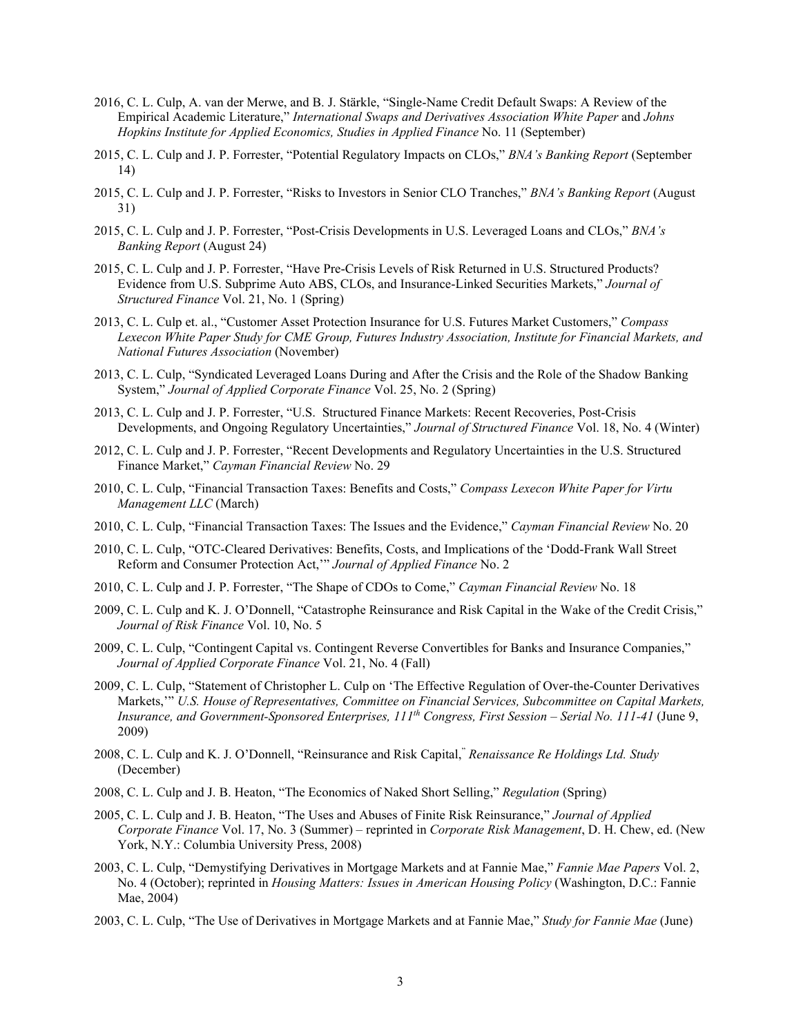- 2016, C. L. Culp, A. van der Merwe, and B. J. Stärkle, "Single-Name Credit Default Swaps: A Review of the Empirical Academic Literature," *International Swaps and Derivatives Association White Paper* and *Johns Hopkins Institute for Applied Economics, Studies in Applied Finance* No. 11 (September)
- 2015, C. L. Culp and J. P. Forrester, "Potential Regulatory Impacts on CLOs," *BNA's Banking Report* (September 14)
- 2015, C. L. Culp and J. P. Forrester, "Risks to Investors in Senior CLO Tranches," *BNA's Banking Report* (August 31)
- 2015, C. L. Culp and J. P. Forrester, "Post-Crisis Developments in U.S. Leveraged Loans and CLOs," *BNA's Banking Report* (August 24)
- 2015, C. L. Culp and J. P. Forrester, "Have Pre-Crisis Levels of Risk Returned in U.S. Structured Products? Evidence from U.S. Subprime Auto ABS, CLOs, and Insurance-Linked Securities Markets," *Journal of Structured Finance* Vol. 21, No. 1 (Spring)
- 2013, C. L. Culp et. al., "Customer Asset Protection Insurance for U.S. Futures Market Customers," *Compass Lexecon White Paper Study for CME Group, Futures Industry Association, Institute for Financial Markets, and National Futures Association* (November)
- 2013, C. L. Culp, "Syndicated Leveraged Loans During and After the Crisis and the Role of the Shadow Banking System," *Journal of Applied Corporate Finance* Vol. 25, No. 2 (Spring)
- 2013, C. L. Culp and J. P. Forrester, "U.S. Structured Finance Markets: Recent Recoveries, Post-Crisis Developments, and Ongoing Regulatory Uncertainties," *Journal of Structured Finance* Vol. 18, No. 4 (Winter)
- 2012, C. L. Culp and J. P. Forrester, "Recent Developments and Regulatory Uncertainties in the U.S. Structured Finance Market," *Cayman Financial Review* No. 29
- 2010, C. L. Culp, "Financial Transaction Taxes: Benefits and Costs," *Compass Lexecon White Paper for Virtu Management LLC* (March)
- 2010, C. L. Culp, "Financial Transaction Taxes: The Issues and the Evidence," *Cayman Financial Review* No. 20
- 2010, C. L. Culp, "OTC-Cleared Derivatives: Benefits, Costs, and Implications of the 'Dodd-Frank Wall Street Reform and Consumer Protection Act,'" *Journal of Applied Finance* No. 2
- 2010, C. L. Culp and J. P. Forrester, "The Shape of CDOs to Come," *Cayman Financial Review* No. 18
- 2009, C. L. Culp and K. J. O'Donnell, "Catastrophe Reinsurance and Risk Capital in the Wake of the Credit Crisis," *Journal of Risk Finance* Vol. 10, No. 5
- 2009, C. L. Culp, "Contingent Capital vs. Contingent Reverse Convertibles for Banks and Insurance Companies," *Journal of Applied Corporate Finance* Vol. 21, No. 4 (Fall)
- 2009, C. L. Culp, "Statement of Christopher L. Culp on 'The Effective Regulation of Over-the-Counter Derivatives Markets,'" *U.S. House of Representatives, Committee on Financial Services, Subcommittee on Capital Markets, Insurance, and Government-Sponsored Enterprises, 111th Congress, First Session – Serial No. 111-41* (June 9, 2009)
- 2008, C. L. Culp and K. J. O'Donnell, "Reinsurance and Risk Capital, " *Renaissance Re Holdings Ltd. Study* (December)
- 2008, C. L. Culp and J. B. Heaton, "The Economics of Naked Short Selling," *Regulation* (Spring)
- 2005, C. L. Culp and J. B. Heaton, "The Uses and Abuses of Finite Risk Reinsurance," *Journal of Applied Corporate Finance* Vol. 17, No. 3 (Summer) – reprinted in *Corporate Risk Management*, D. H. Chew, ed. (New York, N.Y.: Columbia University Press, 2008)
- 2003, C. L. Culp, "Demystifying Derivatives in Mortgage Markets and at Fannie Mae," *Fannie Mae Papers* Vol. 2, No. 4 (October); reprinted in *Housing Matters: Issues in American Housing Policy* (Washington, D.C.: Fannie Mae, 2004)
- 2003, C. L. Culp, "The Use of Derivatives in Mortgage Markets and at Fannie Mae," *Study for Fannie Mae* (June)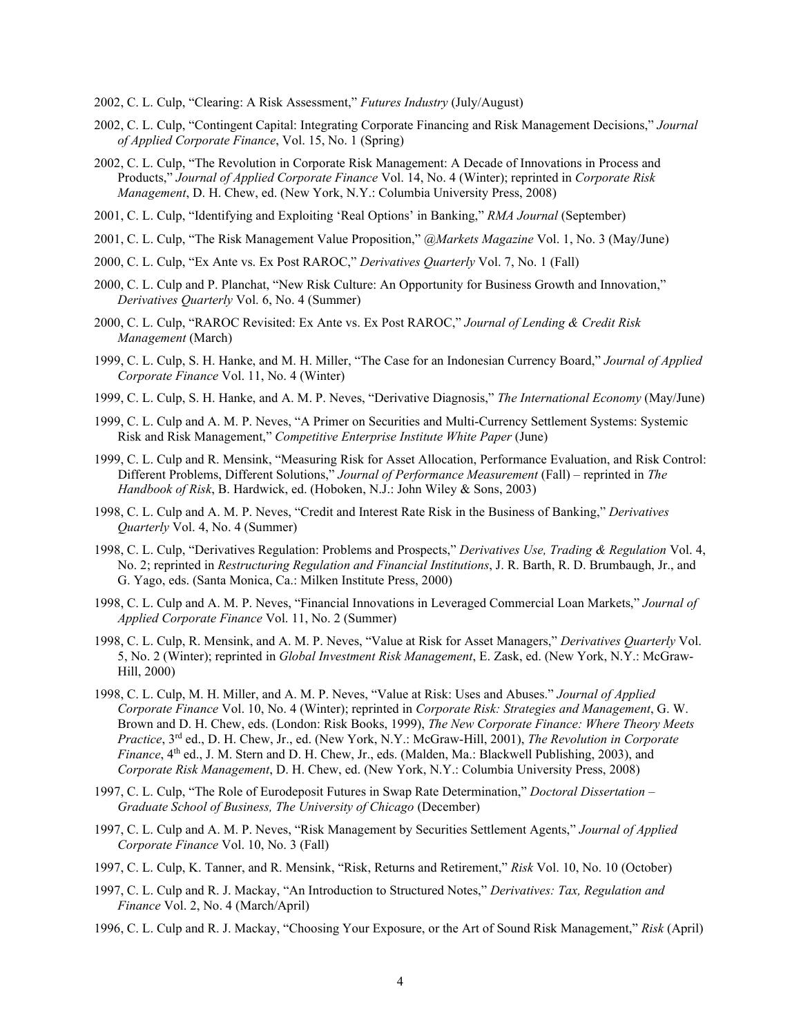- 2002, C. L. Culp, "Clearing: A Risk Assessment," *Futures Industry* (July/August)
- 2002, C. L. Culp, "Contingent Capital: Integrating Corporate Financing and Risk Management Decisions," *Journal of Applied Corporate Finance*, Vol. 15, No. 1 (Spring)
- 2002, C. L. Culp, "The Revolution in Corporate Risk Management: A Decade of Innovations in Process and Products," *Journal of Applied Corporate Finance* Vol. 14, No. 4 (Winter); reprinted in *Corporate Risk Management*, D. H. Chew, ed. (New York, N.Y.: Columbia University Press, 2008)
- 2001, C. L. Culp, "Identifying and Exploiting 'Real Options' in Banking," *RMA Journal* (September)
- 2001, C. L. Culp, "The Risk Management Value Proposition," *@Markets Magazine* Vol. 1, No. 3 (May/June)
- 2000, C. L. Culp, "Ex Ante vs. Ex Post RAROC," *Derivatives Quarterly* Vol. 7, No. 1 (Fall)
- 2000, C. L. Culp and P. Planchat, "New Risk Culture: An Opportunity for Business Growth and Innovation," *Derivatives Quarterly* Vol. 6, No. 4 (Summer)
- 2000, C. L. Culp, "RAROC Revisited: Ex Ante vs. Ex Post RAROC," *Journal of Lending & Credit Risk Management* (March)
- 1999, C. L. Culp, S. H. Hanke, and M. H. Miller, "The Case for an Indonesian Currency Board," *Journal of Applied Corporate Finance* Vol. 11, No. 4 (Winter)
- 1999, C. L. Culp, S. H. Hanke, and A. M. P. Neves, "Derivative Diagnosis," *The International Economy* (May/June)
- 1999, C. L. Culp and A. M. P. Neves, "A Primer on Securities and Multi-Currency Settlement Systems: Systemic Risk and Risk Management," *Competitive Enterprise Institute White Paper* (June)
- 1999, C. L. Culp and R. Mensink, "Measuring Risk for Asset Allocation, Performance Evaluation, and Risk Control: Different Problems, Different Solutions," *Journal of Performance Measurement* (Fall) – reprinted in *The Handbook of Risk*, B. Hardwick, ed. (Hoboken, N.J.: John Wiley & Sons, 2003)
- 1998, C. L. Culp and A. M. P. Neves, "Credit and Interest Rate Risk in the Business of Banking," *Derivatives Quarterly* Vol. 4, No. 4 (Summer)
- 1998, C. L. Culp, "Derivatives Regulation: Problems and Prospects," *Derivatives Use, Trading & Regulation* Vol. 4, No. 2; reprinted in *Restructuring Regulation and Financial Institutions*, J. R. Barth, R. D. Brumbaugh, Jr., and G. Yago, eds. (Santa Monica, Ca.: Milken Institute Press, 2000)
- 1998, C. L. Culp and A. M. P. Neves, "Financial Innovations in Leveraged Commercial Loan Markets," *Journal of Applied Corporate Finance* Vol. 11, No. 2 (Summer)
- 1998, C. L. Culp, R. Mensink, and A. M. P. Neves, "Value at Risk for Asset Managers," *Derivatives Quarterly* Vol. 5, No. 2 (Winter); reprinted in *Global Investment Risk Management*, E. Zask, ed. (New York, N.Y.: McGraw-Hill, 2000)
- 1998, C. L. Culp, M. H. Miller, and A. M. P. Neves, "Value at Risk: Uses and Abuses." *Journal of Applied Corporate Finance* Vol. 10, No. 4 (Winter); reprinted in *Corporate Risk: Strategies and Management*, G. W. Brown and D. H. Chew, eds. (London: Risk Books, 1999), *The New Corporate Finance: Where Theory Meets Practice*, 3rd ed., D. H. Chew, Jr., ed. (New York, N.Y.: McGraw-Hill, 2001), *The Revolution in Corporate Finance*, 4th ed., J. M. Stern and D. H. Chew, Jr., eds. (Malden, Ma.: Blackwell Publishing, 2003), and *Corporate Risk Management*, D. H. Chew, ed. (New York, N.Y.: Columbia University Press, 2008)
- 1997, C. L. Culp, "The Role of Eurodeposit Futures in Swap Rate Determination," *Doctoral Dissertation – Graduate School of Business, The University of Chicago* (December)
- 1997, C. L. Culp and A. M. P. Neves, "Risk Management by Securities Settlement Agents," *Journal of Applied Corporate Finance* Vol. 10, No. 3 (Fall)
- 1997, C. L. Culp, K. Tanner, and R. Mensink, "Risk, Returns and Retirement," *Risk* Vol. 10, No. 10 (October)
- 1997, C. L. Culp and R. J. Mackay, "An Introduction to Structured Notes," *Derivatives: Tax, Regulation and Finance* Vol. 2, No. 4 (March/April)
- 1996, C. L. Culp and R. J. Mackay, "Choosing Your Exposure, or the Art of Sound Risk Management," *Risk* (April)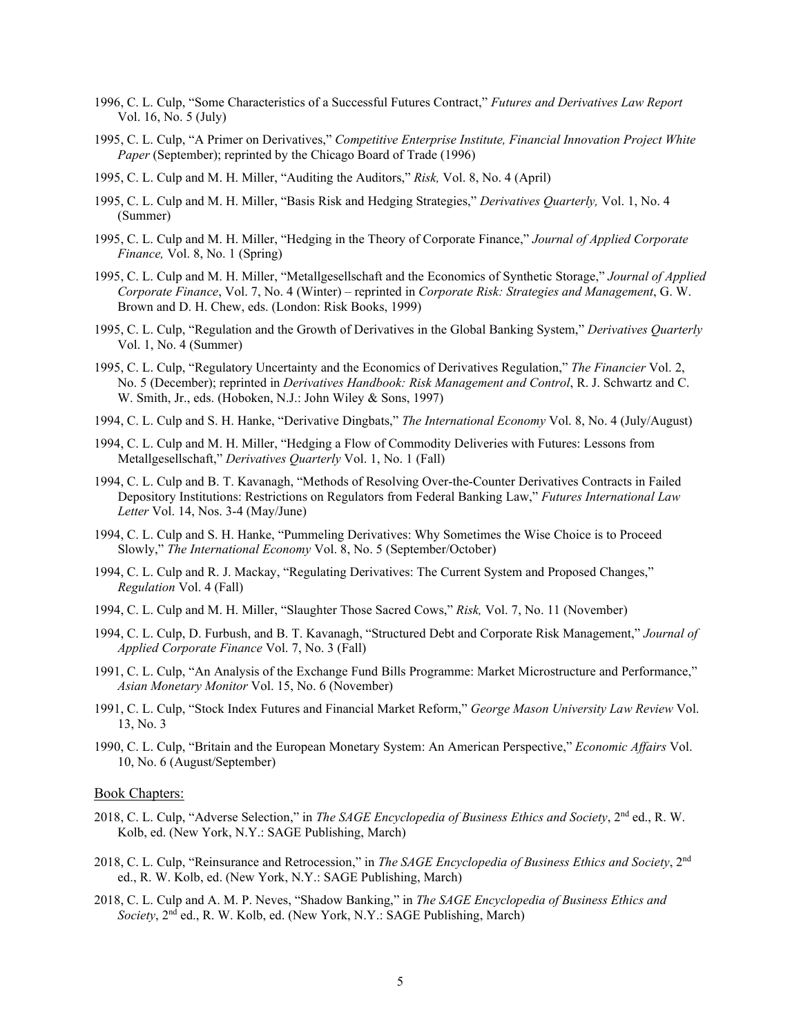- 1996, C. L. Culp, "Some Characteristics of a Successful Futures Contract," *Futures and Derivatives Law Report* Vol. 16, No. 5 (July)
- 1995, C. L. Culp, "A Primer on Derivatives," *Competitive Enterprise Institute, Financial Innovation Project White Paper* (September); reprinted by the Chicago Board of Trade (1996)
- 1995, C. L. Culp and M. H. Miller, "Auditing the Auditors," *Risk,* Vol. 8, No. 4 (April)
- 1995, C. L. Culp and M. H. Miller, "Basis Risk and Hedging Strategies," *Derivatives Quarterly,* Vol. 1, No. 4 (Summer)
- 1995, C. L. Culp and M. H. Miller, "Hedging in the Theory of Corporate Finance," *Journal of Applied Corporate Finance,* Vol. 8, No. 1 (Spring)
- 1995, C. L. Culp and M. H. Miller, "Metallgesellschaft and the Economics of Synthetic Storage," *Journal of Applied Corporate Finance*, Vol. 7, No. 4 (Winter) – reprinted in *Corporate Risk: Strategies and Management*, G. W. Brown and D. H. Chew, eds. (London: Risk Books, 1999)
- 1995, C. L. Culp, "Regulation and the Growth of Derivatives in the Global Banking System," *Derivatives Quarterly* Vol. 1, No. 4 (Summer)
- 1995, C. L. Culp, "Regulatory Uncertainty and the Economics of Derivatives Regulation," *The Financier* Vol. 2, No. 5 (December); reprinted in *Derivatives Handbook: Risk Management and Control*, R. J. Schwartz and C. W. Smith, Jr., eds. (Hoboken, N.J.: John Wiley & Sons, 1997)
- 1994, C. L. Culp and S. H. Hanke, "Derivative Dingbats," *The International Economy* Vol. 8, No. 4 (July/August)
- 1994, C. L. Culp and M. H. Miller, "Hedging a Flow of Commodity Deliveries with Futures: Lessons from Metallgesellschaft," *Derivatives Quarterly* Vol. 1, No. 1 (Fall)
- 1994, C. L. Culp and B. T. Kavanagh, "Methods of Resolving Over-the-Counter Derivatives Contracts in Failed Depository Institutions: Restrictions on Regulators from Federal Banking Law," *Futures International Law Letter* Vol. 14, Nos. 3-4 (May/June)
- 1994, C. L. Culp and S. H. Hanke, "Pummeling Derivatives: Why Sometimes the Wise Choice is to Proceed Slowly," *The International Economy* Vol. 8, No. 5 (September/October)
- 1994, C. L. Culp and R. J. Mackay, "Regulating Derivatives: The Current System and Proposed Changes," *Regulation* Vol. 4 (Fall)
- 1994, C. L. Culp and M. H. Miller, "Slaughter Those Sacred Cows," *Risk,* Vol. 7, No. 11 (November)
- 1994, C. L. Culp, D. Furbush, and B. T. Kavanagh, "Structured Debt and Corporate Risk Management," *Journal of Applied Corporate Finance* Vol. 7, No. 3 (Fall)
- 1991, C. L. Culp, "An Analysis of the Exchange Fund Bills Programme: Market Microstructure and Performance," *Asian Monetary Monitor* Vol. 15, No. 6 (November)
- 1991, C. L. Culp, "Stock Index Futures and Financial Market Reform," *George Mason University Law Review* Vol. 13, No. 3
- 1990, C. L. Culp, "Britain and the European Monetary System: An American Perspective," *Economic Affairs* Vol. 10, No. 6 (August/September)

#### Book Chapters:

- 2018, C. L. Culp, "Adverse Selection," in *The SAGE Encyclopedia of Business Ethics and Society*, 2nd ed., R. W. Kolb, ed. (New York, N.Y.: SAGE Publishing, March)
- 2018, C. L. Culp, "Reinsurance and Retrocession," in *The SAGE Encyclopedia of Business Ethics and Society*, 2nd ed., R. W. Kolb, ed. (New York, N.Y.: SAGE Publishing, March)
- 2018, C. L. Culp and A. M. P. Neves, "Shadow Banking," in *The SAGE Encyclopedia of Business Ethics and Society*, 2nd ed., R. W. Kolb, ed. (New York, N.Y.: SAGE Publishing, March)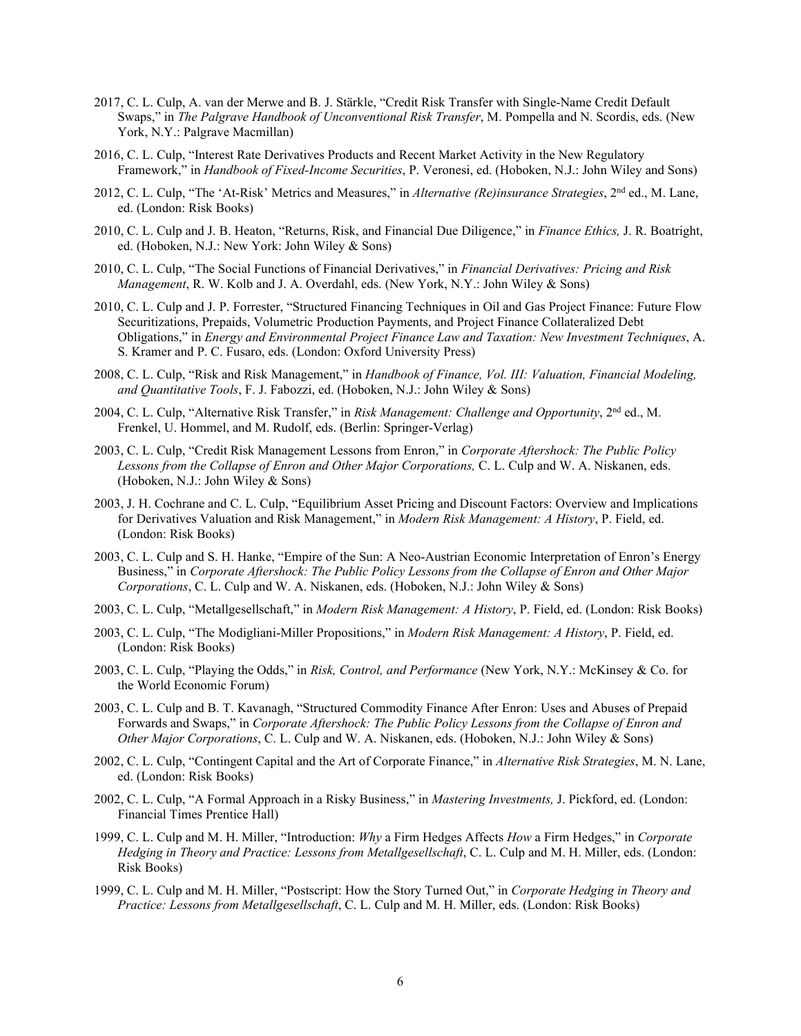- 2017, C. L. Culp, A. van der Merwe and B. J. Stärkle, "Credit Risk Transfer with Single-Name Credit Default Swaps," in *The Palgrave Handbook of Unconventional Risk Transfer*, M. Pompella and N. Scordis, eds. (New York, N.Y.: Palgrave Macmillan)
- 2016, C. L. Culp, "Interest Rate Derivatives Products and Recent Market Activity in the New Regulatory Framework," in *Handbook of Fixed-Income Securities*, P. Veronesi, ed. (Hoboken, N.J.: John Wiley and Sons)
- 2012, C. L. Culp, "The 'At-Risk' Metrics and Measures," in *Alternative (Re)insurance Strategies*, 2nd ed., M. Lane, ed. (London: Risk Books)
- 2010, C. L. Culp and J. B. Heaton, "Returns, Risk, and Financial Due Diligence," in *Finance Ethics,* J. R. Boatright, ed. (Hoboken, N.J.: New York: John Wiley & Sons)
- 2010, C. L. Culp, "The Social Functions of Financial Derivatives," in *Financial Derivatives: Pricing and Risk Management*, R. W. Kolb and J. A. Overdahl, eds. (New York, N.Y.: John Wiley & Sons)
- 2010, C. L. Culp and J. P. Forrester, "Structured Financing Techniques in Oil and Gas Project Finance: Future Flow Securitizations, Prepaids, Volumetric Production Payments, and Project Finance Collateralized Debt Obligations," in *Energy and Environmental Project Finance Law and Taxation: New Investment Techniques*, A. S. Kramer and P. C. Fusaro, eds. (London: Oxford University Press)
- 2008, C. L. Culp, "Risk and Risk Management," in *Handbook of Finance, Vol. III: Valuation, Financial Modeling, and Quantitative Tools*, F. J. Fabozzi, ed. (Hoboken, N.J.: John Wiley & Sons)
- 2004, C. L. Culp, "Alternative Risk Transfer," in *Risk Management: Challenge and Opportunity*, 2nd ed., M. Frenkel, U. Hommel, and M. Rudolf, eds. (Berlin: Springer-Verlag)
- 2003, C. L. Culp, "Credit Risk Management Lessons from Enron," in *Corporate Aftershock: The Public Policy Lessons from the Collapse of Enron and Other Major Corporations,* C. L. Culp and W. A. Niskanen, eds. (Hoboken, N.J.: John Wiley & Sons)
- 2003, J. H. Cochrane and C. L. Culp, "Equilibrium Asset Pricing and Discount Factors: Overview and Implications for Derivatives Valuation and Risk Management," in *Modern Risk Management: A History*, P. Field, ed. (London: Risk Books)
- 2003, C. L. Culp and S. H. Hanke, "Empire of the Sun: A Neo-Austrian Economic Interpretation of Enron's Energy Business," in *Corporate Aftershock: The Public Policy Lessons from the Collapse of Enron and Other Major Corporations*, C. L. Culp and W. A. Niskanen, eds. (Hoboken, N.J.: John Wiley & Sons)
- 2003, C. L. Culp, "Metallgesellschaft," in *Modern Risk Management: A History*, P. Field, ed. (London: Risk Books)
- 2003, C. L. Culp, "The Modigliani-Miller Propositions," in *Modern Risk Management: A History*, P. Field, ed. (London: Risk Books)
- 2003, C. L. Culp, "Playing the Odds," in *Risk, Control, and Performance* (New York, N.Y.: McKinsey & Co. for the World Economic Forum)
- 2003, C. L. Culp and B. T. Kavanagh, "Structured Commodity Finance After Enron: Uses and Abuses of Prepaid Forwards and Swaps," in *Corporate Aftershock: The Public Policy Lessons from the Collapse of Enron and Other Major Corporations*, C. L. Culp and W. A. Niskanen, eds. (Hoboken, N.J.: John Wiley & Sons)
- 2002, C. L. Culp, "Contingent Capital and the Art of Corporate Finance," in *Alternative Risk Strategies*, M. N. Lane, ed. (London: Risk Books)
- 2002, C. L. Culp, "A Formal Approach in a Risky Business," in *Mastering Investments,* J. Pickford, ed. (London: Financial Times Prentice Hall)
- 1999, C. L. Culp and M. H. Miller, "Introduction: *Why* a Firm Hedges Affects *How* a Firm Hedges," in *Corporate Hedging in Theory and Practice: Lessons from Metallgesellschaft*, C. L. Culp and M. H. Miller, eds. (London: Risk Books)
- 1999, C. L. Culp and M. H. Miller, "Postscript: How the Story Turned Out," in *Corporate Hedging in Theory and Practice: Lessons from Metallgesellschaft*, C. L. Culp and M. H. Miller, eds. (London: Risk Books)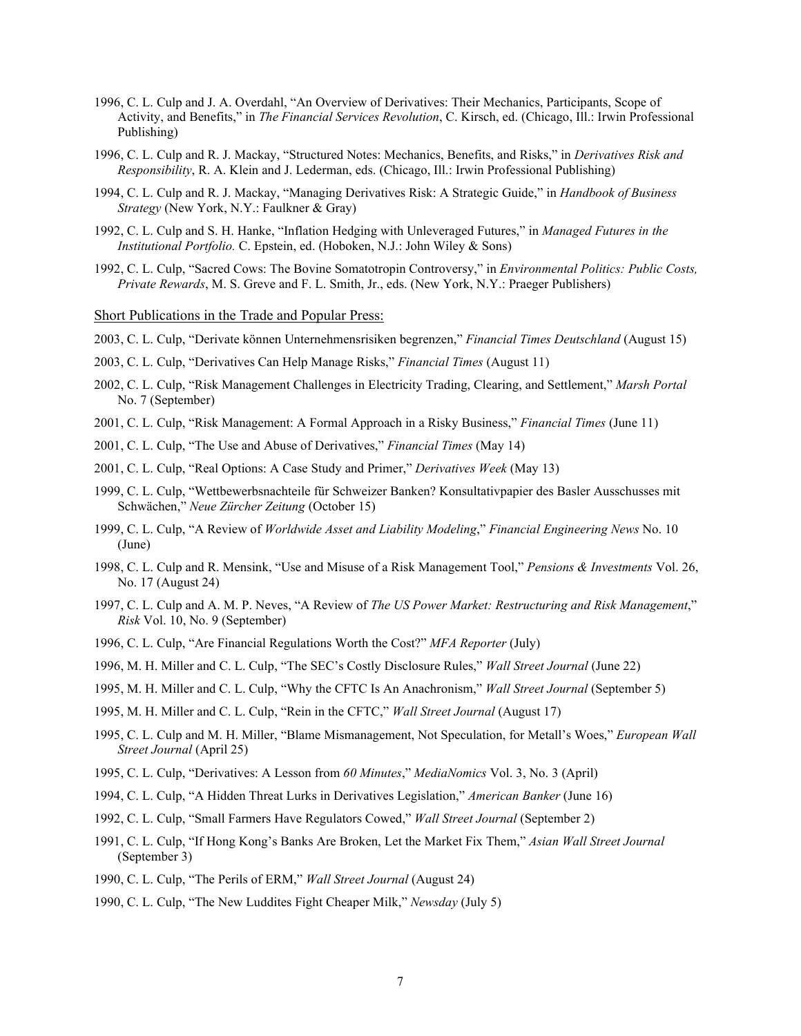- 1996, C. L. Culp and J. A. Overdahl, "An Overview of Derivatives: Their Mechanics, Participants, Scope of Activity, and Benefits," in *The Financial Services Revolution*, C. Kirsch, ed. (Chicago, Ill.: Irwin Professional Publishing)
- 1996, C. L. Culp and R. J. Mackay, "Structured Notes: Mechanics, Benefits, and Risks," in *Derivatives Risk and Responsibility*, R. A. Klein and J. Lederman, eds. (Chicago, Ill.: Irwin Professional Publishing)
- 1994, C. L. Culp and R. J. Mackay, "Managing Derivatives Risk: A Strategic Guide," in *Handbook of Business Strategy* (New York, N.Y.: Faulkner & Gray)
- 1992, C. L. Culp and S. H. Hanke, "Inflation Hedging with Unleveraged Futures," in *Managed Futures in the Institutional Portfolio.* C. Epstein, ed. (Hoboken, N.J.: John Wiley & Sons)
- 1992, C. L. Culp, "Sacred Cows: The Bovine Somatotropin Controversy," in *Environmental Politics: Public Costs, Private Rewards*, M. S. Greve and F. L. Smith, Jr., eds. (New York, N.Y.: Praeger Publishers)

Short Publications in the Trade and Popular Press:

2003, C. L. Culp, "Derivate können Unternehmensrisiken begrenzen," *Financial Times Deutschland* (August 15)

- 2003, C. L. Culp, "Derivatives Can Help Manage Risks," *Financial Times* (August 11)
- 2002, C. L. Culp, "Risk Management Challenges in Electricity Trading, Clearing, and Settlement," *Marsh Portal*  No. 7 (September)
- 2001, C. L. Culp, "Risk Management: A Formal Approach in a Risky Business," *Financial Times* (June 11)
- 2001, C. L. Culp, "The Use and Abuse of Derivatives," *Financial Times* (May 14)
- 2001, C. L. Culp, "Real Options: A Case Study and Primer," *Derivatives Week* (May 13)
- 1999, C. L. Culp, "Wettbewerbsnachteile für Schweizer Banken? Konsultativpapier des Basler Ausschusses mit Schwächen," *Neue Zürcher Zeitung* (October 15)
- 1999, C. L. Culp, "A Review of *Worldwide Asset and Liability Modeling*," *Financial Engineering News* No. 10 (June)
- 1998, C. L. Culp and R. Mensink, "Use and Misuse of a Risk Management Tool," *Pensions & Investments* Vol. 26, No. 17 (August 24)
- 1997, C. L. Culp and A. M. P. Neves, "A Review of *The US Power Market: Restructuring and Risk Management*," *Risk* Vol. 10, No. 9 (September)
- 1996, C. L. Culp, "Are Financial Regulations Worth the Cost?" *MFA Reporter* (July)
- 1996, M. H. Miller and C. L. Culp, "The SEC's Costly Disclosure Rules," *Wall Street Journal* (June 22)
- 1995, M. H. Miller and C. L. Culp, "Why the CFTC Is An Anachronism," *Wall Street Journal* (September 5)
- 1995, M. H. Miller and C. L. Culp, "Rein in the CFTC," *Wall Street Journal* (August 17)
- 1995, C. L. Culp and M. H. Miller, "Blame Mismanagement, Not Speculation, for Metall's Woes," *European Wall Street Journal* (April 25)
- 1995, C. L. Culp, "Derivatives: A Lesson from *60 Minutes*," *MediaNomics* Vol. 3, No. 3 (April)
- 1994, C. L. Culp, "A Hidden Threat Lurks in Derivatives Legislation," *American Banker* (June 16)
- 1992, C. L. Culp, "Small Farmers Have Regulators Cowed," *Wall Street Journal* (September 2)
- 1991, C. L. Culp, "If Hong Kong's Banks Are Broken, Let the Market Fix Them," *Asian Wall Street Journal* (September 3)
- 1990, C. L. Culp, "The Perils of ERM," *Wall Street Journal* (August 24)
- 1990, C. L. Culp, "The New Luddites Fight Cheaper Milk," *Newsday* (July 5)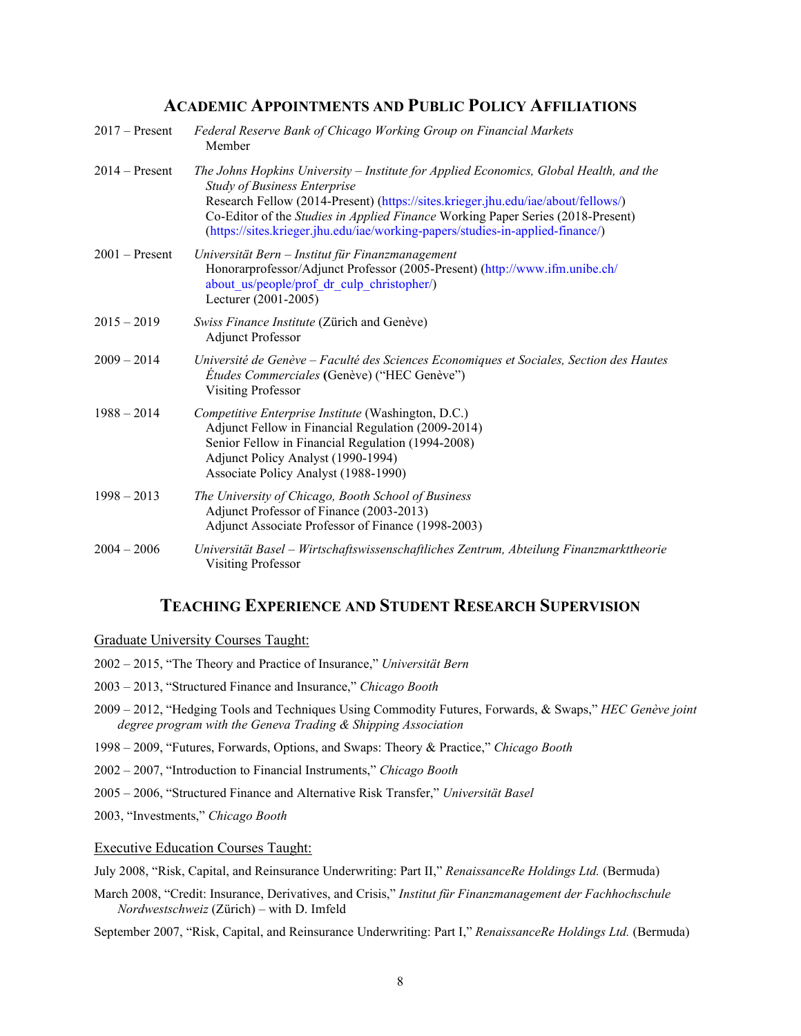# **ACADEMIC APPOINTMENTS AND PUBLIC POLICY AFFILIATIONS**

| $2017 -$ Present | Federal Reserve Bank of Chicago Working Group on Financial Markets<br>Member                                                                                                                                                                                                                                                                                                            |
|------------------|-----------------------------------------------------------------------------------------------------------------------------------------------------------------------------------------------------------------------------------------------------------------------------------------------------------------------------------------------------------------------------------------|
| $2014 -$ Present | The Johns Hopkins University – Institute for Applied Economics, Global Health, and the<br><b>Study of Business Enterprise</b><br>Research Fellow (2014-Present) (https://sites.krieger.jhu.edu/iae/about/fellows/)<br>Co-Editor of the Studies in Applied Finance Working Paper Series (2018-Present)<br>(https://sites.krieger.jhu.edu/iae/working-papers/studies-in-applied-finance/) |
| $2001$ – Present | Universität Bern – Institut für Finanzmanagement<br>Honorarprofessor/Adjunct Professor (2005-Present) (http://www.ifm.unibe.ch/<br>about us/people/prof dr culp christopher/)<br>Lecturer (2001-2005)                                                                                                                                                                                   |
| $2015 - 2019$    | Swiss Finance Institute (Zürich and Genève)<br><b>Adjunct Professor</b>                                                                                                                                                                                                                                                                                                                 |
| $2009 - 2014$    | Université de Genève - Faculté des Sciences Economiques et Sociales, Section des Hautes<br><i>Études Commerciales</i> (Genève) ("HEC Genève")<br><b>Visiting Professor</b>                                                                                                                                                                                                              |
| $1988 - 2014$    | Competitive Enterprise Institute (Washington, D.C.)<br>Adjunct Fellow in Financial Regulation (2009-2014)<br>Senior Fellow in Financial Regulation (1994-2008)<br>Adjunct Policy Analyst (1990-1994)<br>Associate Policy Analyst (1988-1990)                                                                                                                                            |
| $1998 - 2013$    | The University of Chicago, Booth School of Business<br>Adjunct Professor of Finance (2003-2013)<br>Adjunct Associate Professor of Finance (1998-2003)                                                                                                                                                                                                                                   |
| $2004 - 2006$    | Universität Basel – Wirtschaftswissenschaftliches Zentrum, Abteilung Finanzmarkttheorie<br><b>Visiting Professor</b>                                                                                                                                                                                                                                                                    |

# **TEACHING EXPERIENCE AND STUDENT RESEARCH SUPERVISION**

Graduate University Courses Taught:

- 2002 2015, "The Theory and Practice of Insurance," *Universität Bern*
- 2003 2013, "Structured Finance and Insurance," *Chicago Booth*
- 2009 2012, "Hedging Tools and Techniques Using Commodity Futures, Forwards, & Swaps," *HEC Genève joint degree program with the Geneva Trading & Shipping Association*
- 1998 2009, "Futures, Forwards, Options, and Swaps: Theory & Practice," *Chicago Booth*
- 2002 2007, "Introduction to Financial Instruments," *Chicago Booth*
- 2005 2006, "Structured Finance and Alternative Risk Transfer," *Universität Basel*

2003, "Investments," *Chicago Booth*

Executive Education Courses Taught:

July 2008, "Risk, Capital, and Reinsurance Underwriting: Part II," *RenaissanceRe Holdings Ltd.* (Bermuda)

March 2008, "Credit: Insurance, Derivatives, and Crisis," *Institut für Finanzmanagement der Fachhochschule Nordwestschweiz* (Zürich) – with D. Imfeld

September 2007, "Risk, Capital, and Reinsurance Underwriting: Part I," *RenaissanceRe Holdings Ltd.* (Bermuda)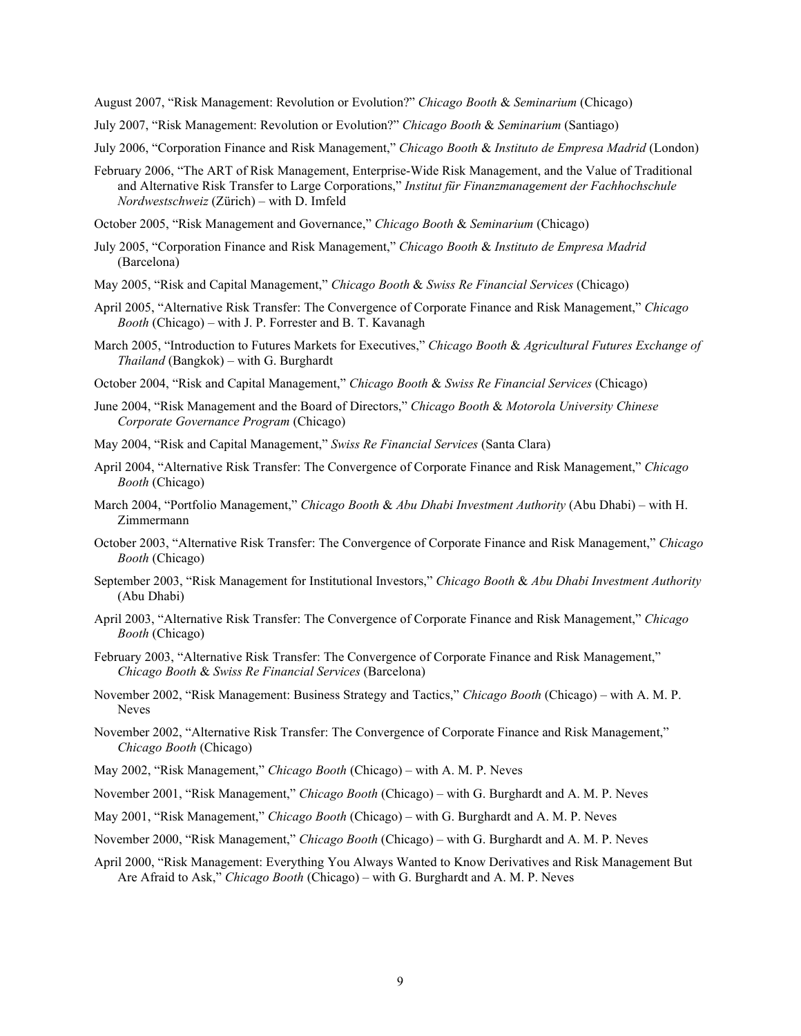August 2007, "Risk Management: Revolution or Evolution?" *Chicago Booth* & *Seminarium* (Chicago)

July 2007, "Risk Management: Revolution or Evolution?" *Chicago Booth* & *Seminarium* (Santiago)

July 2006, "Corporation Finance and Risk Management," *Chicago Booth* & *Instituto de Empresa Madrid* (London)

- February 2006, "The ART of Risk Management, Enterprise-Wide Risk Management, and the Value of Traditional and Alternative Risk Transfer to Large Corporations," *Institut für Finanzmanagement der Fachhochschule Nordwestschweiz* (Zürich) – with D. Imfeld
- October 2005, "Risk Management and Governance," *Chicago Booth* & *Seminarium* (Chicago)
- July 2005, "Corporation Finance and Risk Management," *Chicago Booth* & *Instituto de Empresa Madrid* (Barcelona)
- May 2005, "Risk and Capital Management," *Chicago Booth* & *Swiss Re Financial Services* (Chicago)
- April 2005, "Alternative Risk Transfer: The Convergence of Corporate Finance and Risk Management," *Chicago Booth* (Chicago) – with J. P. Forrester and B. T. Kavanagh
- March 2005, "Introduction to Futures Markets for Executives," *Chicago Booth* & *Agricultural Futures Exchange of Thailand* (Bangkok) – with G. Burghardt
- October 2004, "Risk and Capital Management," *Chicago Booth* & *Swiss Re Financial Services* (Chicago)
- June 2004, "Risk Management and the Board of Directors," *Chicago Booth* & *Motorola University Chinese Corporate Governance Program* (Chicago)
- May 2004, "Risk and Capital Management," *Swiss Re Financial Services* (Santa Clara)
- April 2004, "Alternative Risk Transfer: The Convergence of Corporate Finance and Risk Management," *Chicago Booth* (Chicago)
- March 2004, "Portfolio Management," *Chicago Booth* & *Abu Dhabi Investment Authority* (Abu Dhabi) with H. Zimmermann
- October 2003, "Alternative Risk Transfer: The Convergence of Corporate Finance and Risk Management," *Chicago Booth* (Chicago)
- September 2003, "Risk Management for Institutional Investors," *Chicago Booth* & *Abu Dhabi Investment Authority* (Abu Dhabi)
- April 2003, "Alternative Risk Transfer: The Convergence of Corporate Finance and Risk Management," *Chicago Booth* (Chicago)
- February 2003, "Alternative Risk Transfer: The Convergence of Corporate Finance and Risk Management," *Chicago Booth* & *Swiss Re Financial Services* (Barcelona)
- November 2002, "Risk Management: Business Strategy and Tactics," *Chicago Booth* (Chicago) with A. M. P. Neves
- November 2002, "Alternative Risk Transfer: The Convergence of Corporate Finance and Risk Management," *Chicago Booth* (Chicago)
- May 2002, "Risk Management," *Chicago Booth* (Chicago) with A. M. P. Neves
- November 2001, "Risk Management," *Chicago Booth* (Chicago) with G. Burghardt and A. M. P. Neves
- May 2001, "Risk Management," *Chicago Booth* (Chicago) with G. Burghardt and A. M. P. Neves
- November 2000, "Risk Management," *Chicago Booth* (Chicago) with G. Burghardt and A. M. P. Neves
- April 2000, "Risk Management: Everything You Always Wanted to Know Derivatives and Risk Management But Are Afraid to Ask," *Chicago Booth* (Chicago) – with G. Burghardt and A. M. P. Neves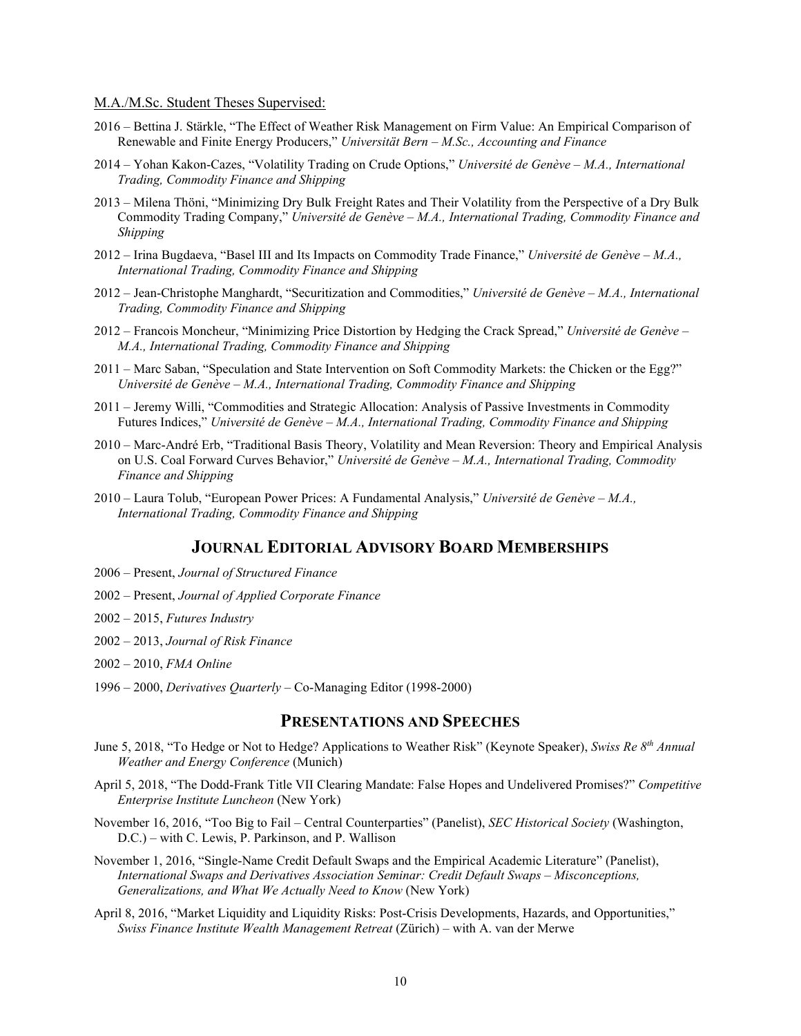#### M.A./M.Sc. Student Theses Supervised:

- 2016 Bettina J. Stärkle, "The Effect of Weather Risk Management on Firm Value: An Empirical Comparison of Renewable and Finite Energy Producers," *Universität Bern – M.Sc., Accounting and Finance*
- 2014 Yohan Kakon-Cazes, "Volatility Trading on Crude Options," *Université de Genève – M.A., International Trading, Commodity Finance and Shipping*
- 2013 Milena Thöni, "Minimizing Dry Bulk Freight Rates and Their Volatility from the Perspective of a Dry Bulk Commodity Trading Company," *Université de Genève – M.A., International Trading, Commodity Finance and Shipping*
- 2012 Irina Bugdaeva, "Basel III and Its Impacts on Commodity Trade Finance," *Université de Genève – M.A., International Trading, Commodity Finance and Shipping*
- 2012 Jean-Christophe Manghardt, "Securitization and Commodities," *Université de Genève – M.A., International Trading, Commodity Finance and Shipping*
- 2012 Francois Moncheur, "Minimizing Price Distortion by Hedging the Crack Spread," *Université de Genève – M.A., International Trading, Commodity Finance and Shipping*
- 2011 Marc Saban, "Speculation and State Intervention on Soft Commodity Markets: the Chicken or the Egg?" *Université de Genève – M.A., International Trading, Commodity Finance and Shipping*
- 2011 Jeremy Willi, "Commodities and Strategic Allocation: Analysis of Passive Investments in Commodity Futures Indices," *Université de Genève – M.A., International Trading, Commodity Finance and Shipping*
- 2010 Marc-André Erb, "Traditional Basis Theory, Volatility and Mean Reversion: Theory and Empirical Analysis on U.S. Coal Forward Curves Behavior," *Université de Genève – M.A., International Trading, Commodity Finance and Shipping*
- 2010 Laura Tolub, "European Power Prices: A Fundamental Analysis," *Université de Genève – M.A., International Trading, Commodity Finance and Shipping*

# **JOURNAL EDITORIAL ADVISORY BOARD MEMBERSHIPS**

- 2006 Present, *Journal of Structured Finance*
- 2002 Present, *Journal of Applied Corporate Finance*
- 2002 2015, *Futures Industry*
- 2002 2013, *Journal of Risk Finance*
- 2002 2010, *FMA Online*
- 1996 2000, *Derivatives Quarterly* Co-Managing Editor (1998-2000)

### **PRESENTATIONS AND SPEECHES**

- June 5, 2018, "To Hedge or Not to Hedge? Applications to Weather Risk" (Keynote Speaker), *Swiss Re 8th Annual Weather and Energy Conference* (Munich)
- April 5, 2018, "The Dodd-Frank Title VII Clearing Mandate: False Hopes and Undelivered Promises?" *Competitive Enterprise Institute Luncheon* (New York)
- November 16, 2016, "Too Big to Fail Central Counterparties" (Panelist), *SEC Historical Society* (Washington, D.C.) – with C. Lewis, P. Parkinson, and P. Wallison
- November 1, 2016, "Single-Name Credit Default Swaps and the Empirical Academic Literature" (Panelist), *International Swaps and Derivatives Association Seminar: Credit Default Swaps – Misconceptions, Generalizations, and What We Actually Need to Know* (New York)
- April 8, 2016, "Market Liquidity and Liquidity Risks: Post-Crisis Developments, Hazards, and Opportunities," *Swiss Finance Institute Wealth Management Retreat* (Zürich) – with A. van der Merwe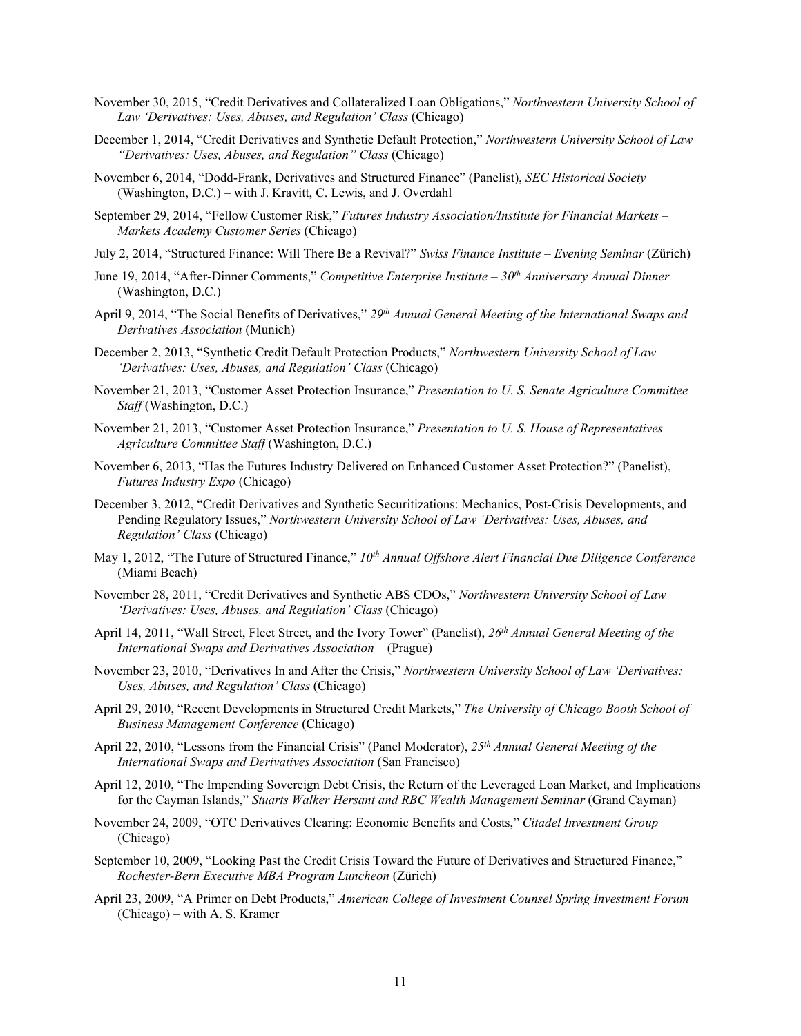- November 30, 2015, "Credit Derivatives and Collateralized Loan Obligations," *Northwestern University School of Law 'Derivatives: Uses, Abuses, and Regulation' Class* (Chicago)
- December 1, 2014, "Credit Derivatives and Synthetic Default Protection," *Northwestern University School of Law "Derivatives: Uses, Abuses, and Regulation" Class* (Chicago)
- November 6, 2014, "Dodd-Frank, Derivatives and Structured Finance" (Panelist), *SEC Historical Society*  (Washington, D.C.) – with J. Kravitt, C. Lewis, and J. Overdahl
- September 29, 2014, "Fellow Customer Risk," *Futures Industry Association/Institute for Financial Markets – Markets Academy Customer Series* (Chicago)
- July 2, 2014, "Structured Finance: Will There Be a Revival?" *Swiss Finance Institute – Evening Seminar* (Zürich)
- June 19, 2014, "After-Dinner Comments," *Competitive Enterprise Institute – 30th Anniversary Annual Dinner*  (Washington, D.C.)
- April 9, 2014, "The Social Benefits of Derivatives," *29th Annual General Meeting of the International Swaps and Derivatives Association* (Munich)
- December 2, 2013, "Synthetic Credit Default Protection Products," *Northwestern University School of Law 'Derivatives: Uses, Abuses, and Regulation' Class* (Chicago)
- November 21, 2013, "Customer Asset Protection Insurance," *Presentation to U. S. Senate Agriculture Committee Staff* (Washington, D.C.)
- November 21, 2013, "Customer Asset Protection Insurance," *Presentation to U. S. House of Representatives Agriculture Committee Staff* (Washington, D.C.)
- November 6, 2013, "Has the Futures Industry Delivered on Enhanced Customer Asset Protection?" (Panelist), *Futures Industry Expo* (Chicago)
- December 3, 2012, "Credit Derivatives and Synthetic Securitizations: Mechanics, Post-Crisis Developments, and Pending Regulatory Issues," *Northwestern University School of Law 'Derivatives: Uses, Abuses, and Regulation' Class* (Chicago)
- May 1, 2012, "The Future of Structured Finance," 10<sup>th</sup> Annual Offshore Alert Financial Due Diligence Conference (Miami Beach)
- November 28, 2011, "Credit Derivatives and Synthetic ABS CDOs," *Northwestern University School of Law 'Derivatives: Uses, Abuses, and Regulation' Class* (Chicago)
- April 14, 2011, "Wall Street, Fleet Street, and the Ivory Tower" (Panelist), *26th Annual General Meeting of the International Swaps and Derivatives Association* – (Prague)
- November 23, 2010, "Derivatives In and After the Crisis," *Northwestern University School of Law 'Derivatives: Uses, Abuses, and Regulation' Class* (Chicago)
- April 29, 2010, "Recent Developments in Structured Credit Markets," *The University of Chicago Booth School of Business Management Conference* (Chicago)
- April 22, 2010, "Lessons from the Financial Crisis" (Panel Moderator), *25th Annual General Meeting of the International Swaps and Derivatives Association* (San Francisco)
- April 12, 2010, "The Impending Sovereign Debt Crisis, the Return of the Leveraged Loan Market, and Implications for the Cayman Islands," *Stuarts Walker Hersant and RBC Wealth Management Seminar* (Grand Cayman)
- November 24, 2009, "OTC Derivatives Clearing: Economic Benefits and Costs," *Citadel Investment Group*  (Chicago)
- September 10, 2009, "Looking Past the Credit Crisis Toward the Future of Derivatives and Structured Finance," *Rochester-Bern Executive MBA Program Luncheon* (Zürich)
- April 23, 2009, "A Primer on Debt Products," *American College of Investment Counsel Spring Investment Forum* (Chicago) – with A. S. Kramer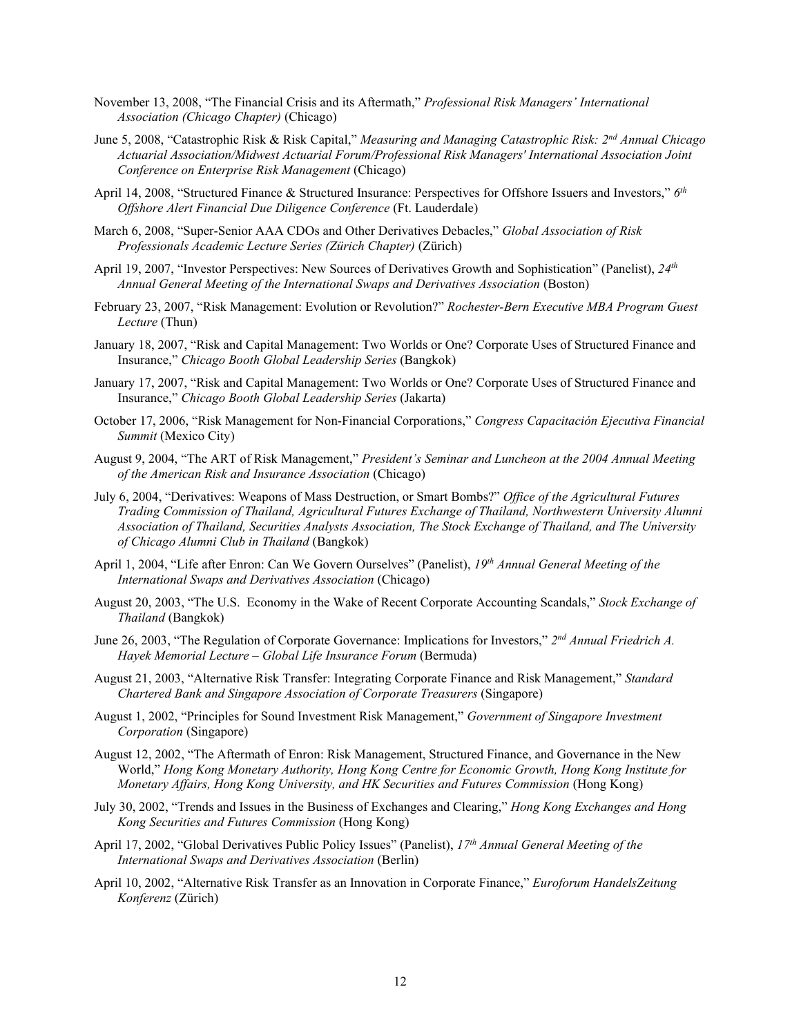- November 13, 2008, "The Financial Crisis and its Aftermath," *Professional Risk Managers' International Association (Chicago Chapter)* (Chicago)
- June 5, 2008, "Catastrophic Risk & Risk Capital," *Measuring and Managing Catastrophic Risk: 2nd Annual Chicago Actuarial Association/Midwest Actuarial Forum/Professional Risk Managers' International Association Joint Conference on Enterprise Risk Management* (Chicago)
- April 14, 2008, "Structured Finance & Structured Insurance: Perspectives for Offshore Issuers and Investors," *6th Offshore Alert Financial Due Diligence Conference* (Ft. Lauderdale)
- March 6, 2008, "Super-Senior AAA CDOs and Other Derivatives Debacles," *Global Association of Risk Professionals Academic Lecture Series (Zürich Chapter)* (Zürich)
- April 19, 2007, "Investor Perspectives: New Sources of Derivatives Growth and Sophistication" (Panelist), *24th Annual General Meeting of the International Swaps and Derivatives Association* (Boston)
- February 23, 2007, "Risk Management: Evolution or Revolution?" *Rochester-Bern Executive MBA Program Guest Lecture* (Thun)
- January 18, 2007, "Risk and Capital Management: Two Worlds or One? Corporate Uses of Structured Finance and Insurance," *Chicago Booth Global Leadership Series* (Bangkok)
- January 17, 2007, "Risk and Capital Management: Two Worlds or One? Corporate Uses of Structured Finance and Insurance," *Chicago Booth Global Leadership Series* (Jakarta)
- October 17, 2006, "Risk Management for Non-Financial Corporations," *Congress Capacitación Ejecutiva Financial Summit* (Mexico City)
- August 9, 2004, "The ART of Risk Management," *President's Seminar and Luncheon at the 2004 Annual Meeting of the American Risk and Insurance Association* (Chicago)
- July 6, 2004, "Derivatives: Weapons of Mass Destruction, or Smart Bombs?" *Office of the Agricultural Futures Trading Commission of Thailand, Agricultural Futures Exchange of Thailand, Northwestern University Alumni Association of Thailand, Securities Analysts Association, The Stock Exchange of Thailand, and The University of Chicago Alumni Club in Thailand* (Bangkok)
- April 1, 2004, "Life after Enron: Can We Govern Ourselves" (Panelist), *19th Annual General Meeting of the International Swaps and Derivatives Association* (Chicago)
- August 20, 2003, "The U.S. Economy in the Wake of Recent Corporate Accounting Scandals," *Stock Exchange of Thailand* (Bangkok)
- June 26, 2003, "The Regulation of Corporate Governance: Implications for Investors," *2nd Annual Friedrich A. Hayek Memorial Lecture – Global Life Insurance Forum* (Bermuda)
- August 21, 2003, "Alternative Risk Transfer: Integrating Corporate Finance and Risk Management," *Standard Chartered Bank and Singapore Association of Corporate Treasurers* (Singapore)
- August 1, 2002, "Principles for Sound Investment Risk Management," *Government of Singapore Investment Corporation* (Singapore)
- August 12, 2002, "The Aftermath of Enron: Risk Management, Structured Finance, and Governance in the New World," *Hong Kong Monetary Authority, Hong Kong Centre for Economic Growth, Hong Kong Institute for Monetary Affairs, Hong Kong University, and HK Securities and Futures Commission* (Hong Kong)
- July 30, 2002, "Trends and Issues in the Business of Exchanges and Clearing," *Hong Kong Exchanges and Hong Kong Securities and Futures Commission* (Hong Kong)
- April 17, 2002, "Global Derivatives Public Policy Issues" (Panelist), *17th Annual General Meeting of the International Swaps and Derivatives Association* (Berlin)
- April 10, 2002, "Alternative Risk Transfer as an Innovation in Corporate Finance," *Euroforum HandelsZeitung Konferenz* (Zürich)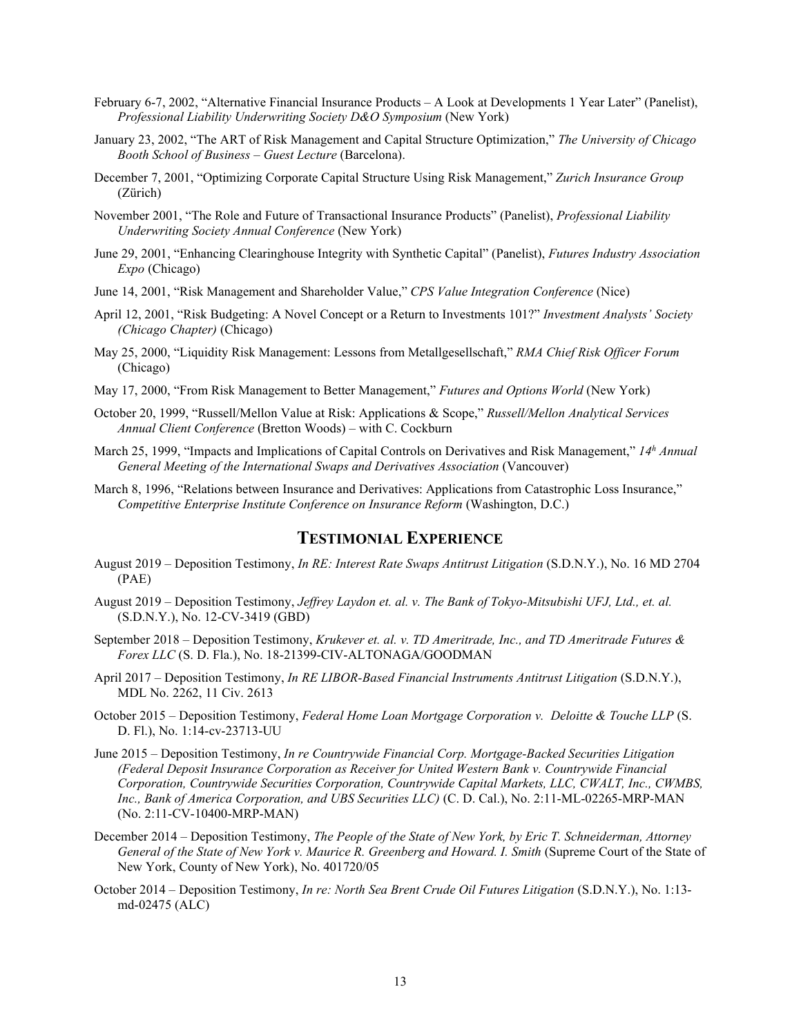- February 6-7, 2002, "Alternative Financial Insurance Products A Look at Developments 1 Year Later" (Panelist), *Professional Liability Underwriting Society D&O Symposium* (New York)
- January 23, 2002, "The ART of Risk Management and Capital Structure Optimization," *The University of Chicago Booth School of Business – Guest Lecture* (Barcelona).
- December 7, 2001, "Optimizing Corporate Capital Structure Using Risk Management," *Zurich Insurance Group* (Zürich)
- November 2001, "The Role and Future of Transactional Insurance Products" (Panelist), *Professional Liability Underwriting Society Annual Conference* (New York)
- June 29, 2001, "Enhancing Clearinghouse Integrity with Synthetic Capital" (Panelist), *Futures Industry Association Expo* (Chicago)
- June 14, 2001, "Risk Management and Shareholder Value," *CPS Value Integration Conference* (Nice)
- April 12, 2001, "Risk Budgeting: A Novel Concept or a Return to Investments 101?" *Investment Analysts' Society (Chicago Chapter)* (Chicago)
- May 25, 2000, "Liquidity Risk Management: Lessons from Metallgesellschaft," *RMA Chief Risk Officer Forum* (Chicago)
- May 17, 2000, "From Risk Management to Better Management," *Futures and Options World* (New York)
- October 20, 1999, "Russell/Mellon Value at Risk: Applications & Scope," *Russell/Mellon Analytical Services Annual Client Conference* (Bretton Woods) – with C. Cockburn
- March 25, 1999, "Impacts and Implications of Capital Controls on Derivatives and Risk Management," *14h Annual General Meeting of the International Swaps and Derivatives Association* (Vancouver)
- March 8, 1996, "Relations between Insurance and Derivatives: Applications from Catastrophic Loss Insurance," *Competitive Enterprise Institute Conference on Insurance Reform* (Washington, D.C.)

# **TESTIMONIAL EXPERIENCE**

- August 2019 Deposition Testimony, *In RE: Interest Rate Swaps Antitrust Litigation* (S.D.N.Y.), No. 16 MD 2704 (PAE)
- August 2019 Deposition Testimony, *Jeffrey Laydon et. al. v. The Bank of Tokyo-Mitsubishi UFJ, Ltd., et. al.*  (S.D.N.Y.), No. 12-CV-3419 (GBD)
- September 2018 Deposition Testimony, *Krukever et. al. v. TD Ameritrade, Inc., and TD Ameritrade Futures & Forex LLC* (S. D. Fla.), No. 18-21399-CIV-ALTONAGA/GOODMAN
- April 2017 Deposition Testimony, *In RE LIBOR-Based Financial Instruments Antitrust Litigation* (S.D.N.Y.), MDL No. 2262, 11 Civ. 2613
- October 2015 Deposition Testimony, *Federal Home Loan Mortgage Corporation v. Deloitte & Touche LLP* (S. D. Fl.), No. 1:14-cv-23713-UU
- June 2015 Deposition Testimony, *In re Countrywide Financial Corp. Mortgage-Backed Securities Litigation (Federal Deposit Insurance Corporation as Receiver for United Western Bank v. Countrywide Financial Corporation, Countrywide Securities Corporation, Countrywide Capital Markets, LLC, CWALT, Inc., CWMBS, Inc., Bank of America Corporation, and UBS Securities LLC)* (C. D. Cal.), No. 2:11-ML-02265-MRP-MAN (No. 2:11-CV-10400-MRP-MAN)
- December 2014 Deposition Testimony, *The People of the State of New York, by Eric T. Schneiderman, Attorney General of the State of New York v. Maurice R. Greenberg and Howard. I. Smith (Supreme Court of the State of* New York, County of New York), No. 401720/05
- October 2014 Deposition Testimony, *In re: North Sea Brent Crude Oil Futures Litigation* (S.D.N.Y.), No. 1:13 md-02475 (ALC)